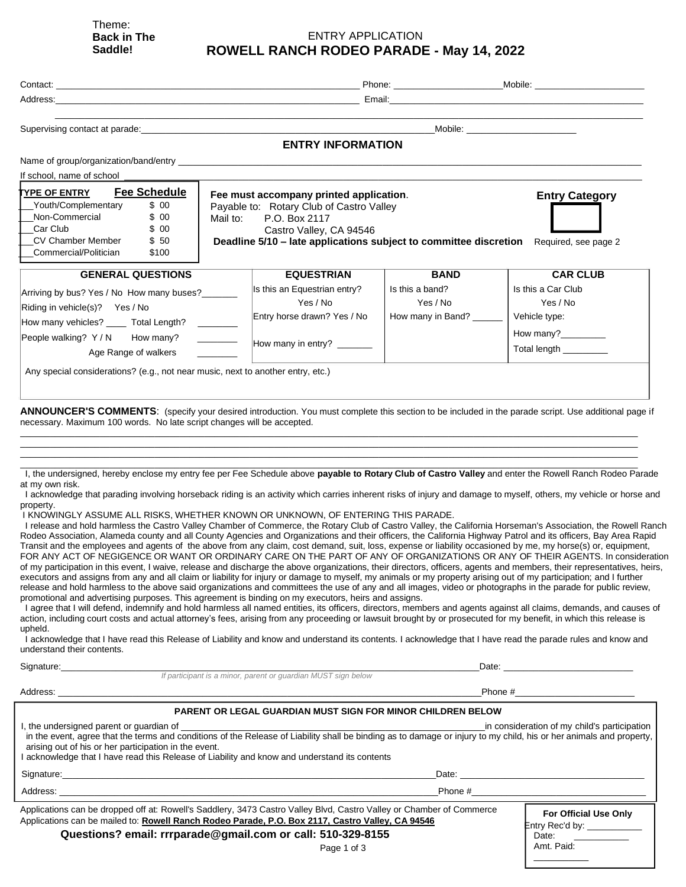Theme: **Back in The Saddle!**

### ENTRY APPLICATION **ROWELL RANCH RODEO PARADE - May 14, 2022**

|                                                                                                                                                                                                                                                                                                                                                                                                                                                                                                                                                                                                                                                                                                                                                                                                                                                              |                                                                                                                                                                                                                                       |                                                        | Phone: Mobile: Mobile: Mobile: Mobile: Mobile: Mobile: Mobile: Mobile: Mobile: Mobile: Mobile: Mobile: Mobile: Mobile: Mobile: Mobile: Mobile: Mobile: Mobile: Mobile: Mobile: Mobile: Mobile: Mobile: Mobile: Mobile: Mobile: |
|--------------------------------------------------------------------------------------------------------------------------------------------------------------------------------------------------------------------------------------------------------------------------------------------------------------------------------------------------------------------------------------------------------------------------------------------------------------------------------------------------------------------------------------------------------------------------------------------------------------------------------------------------------------------------------------------------------------------------------------------------------------------------------------------------------------------------------------------------------------|---------------------------------------------------------------------------------------------------------------------------------------------------------------------------------------------------------------------------------------|--------------------------------------------------------|--------------------------------------------------------------------------------------------------------------------------------------------------------------------------------------------------------------------------------|
|                                                                                                                                                                                                                                                                                                                                                                                                                                                                                                                                                                                                                                                                                                                                                                                                                                                              |                                                                                                                                                                                                                                       |                                                        |                                                                                                                                                                                                                                |
| Supervising contact at parade: Supervision of the state of the state of the state of the state of the state of the state of the state of the state of the state of the state of the state of the state of the state of the sta                                                                                                                                                                                                                                                                                                                                                                                                                                                                                                                                                                                                                               | <u> 1989 - Johann Stoff, amerikansk politiker (d. 1989)</u>                                                                                                                                                                           |                                                        | Mobile: ________________________                                                                                                                                                                                               |
|                                                                                                                                                                                                                                                                                                                                                                                                                                                                                                                                                                                                                                                                                                                                                                                                                                                              | <b>ENTRY INFORMATION</b>                                                                                                                                                                                                              |                                                        |                                                                                                                                                                                                                                |
|                                                                                                                                                                                                                                                                                                                                                                                                                                                                                                                                                                                                                                                                                                                                                                                                                                                              |                                                                                                                                                                                                                                       |                                                        |                                                                                                                                                                                                                                |
| If school, name of school                                                                                                                                                                                                                                                                                                                                                                                                                                                                                                                                                                                                                                                                                                                                                                                                                                    |                                                                                                                                                                                                                                       |                                                        |                                                                                                                                                                                                                                |
| <b>Fee Schedule</b><br><u>YPE OF ENTRY</u><br>Youth/Complementary<br>\$00<br>Non-Commercial<br>\$00<br>Car Club<br>\$00<br>\$50<br><b>CV Chamber Member</b><br>Commercial/Politician<br>\$100                                                                                                                                                                                                                                                                                                                                                                                                                                                                                                                                                                                                                                                                | Fee must accompany printed application.<br>Payable to: Rotary Club of Castro Valley<br>Mail to:<br>P.O. Box 2117<br>Castro Valley, CA 94546<br>Deadline 5/10 - late applications subject to committee discretion Required, see page 2 |                                                        | <b>Entry Category</b>                                                                                                                                                                                                          |
| <b>GENERAL QUESTIONS</b>                                                                                                                                                                                                                                                                                                                                                                                                                                                                                                                                                                                                                                                                                                                                                                                                                                     | <b>EQUESTRIAN</b>                                                                                                                                                                                                                     | <b>BAND</b>                                            | <b>CAR CLUB</b>                                                                                                                                                                                                                |
| Arriving by bus? Yes / No How many buses?<br>Riding in vehicle(s)? Yes / No<br>How many vehicles? _____ Total Length? ________<br>People walking? Y/N How many?<br>Age Range of walkers<br>Any special considerations? (e.g., not near music, next to another entry, etc.)<br>ANNOUNCER'S COMMENTS: (specify your desired introduction. You must complete this section to be included in the parade script. Use additional page if                                                                                                                                                                                                                                                                                                                                                                                                                           | Is this an Equestrian entry?<br>Yes / No<br>Entry horse drawn? Yes / No<br>How many in entry? ______                                                                                                                                  | Is this a band?<br>Yes / No<br>How many in Band? _____ | Is this a Car Club<br>Yes / No<br>Vehicle type:<br>How many?<br>Total length _________                                                                                                                                         |
| necessary. Maximum 100 words. No late script changes will be accepted.<br>I, the undersigned, hereby enclose my entry fee per Fee Schedule above payable to Rotary Club of Castro Valley and enter the Rowell Ranch Rodeo Parade<br>at my own risk.<br>I acknowledge that parading involving horseback riding is an activity which carries inherent risks of injury and damage to myself, others, my vehicle or horse and<br>property.<br>I KNOWINGLY ASSUME ALL RISKS, WHETHER KNOWN OR UNKNOWN, OF ENTERING THIS PARADE.<br>I release and hold harmless the Castro Valley Chamber of Commerce, the Rotary Club of Castro Valley, the California Horseman's Association, the Rowell Ranch<br>Rodeo Association, Alameda county and all County Agencies and Organizations and their officers, the California Highway Patrol and its officers, Bay Area Rapid |                                                                                                                                                                                                                                       |                                                        |                                                                                                                                                                                                                                |

Transit and the employees and agents of the above from any claim, cost demand, suit, loss, expense or liability occasioned by me, my horse(s) or, equipment, FOR ANY ACT OF NEGIGENCE OR WANT OR ORDINARY CARE ON THE PART OF ANY OF ORGANIZATIONS OR ANY OF THEIR AGENTS. In consideration of my participation in this event, I waive, release and discharge the above organizations, their directors, officers, agents and members, their representatives, heirs, executors and assigns from any and all claim or liability for injury or damage to myself, my animals or my property arising out of my participation; and I further release and hold harmless to the above said organizations and committees the use of any and all images, video or photographs in the parade for public review, promotional and advertising purposes. This agreement is binding on my executors, heirs and assigns.

I agree that I will defend, indemnify and hold harmless all named entities, its officers, directors, members and agents against all claims, demands, and causes of action, including court costs and actual attorney's fees, arising from any proceeding or lawsuit brought by or prosecuted for my benefit, in which this release is upheld.

I acknowledge that I have read this Release of Liability and know and understand its contents. I acknowledge that I have read the parade rules and know and understand their contents.

| Signature: Signature:                                                                                                                                                                                                                                                                                                       |                                                        |  |  |  |
|-----------------------------------------------------------------------------------------------------------------------------------------------------------------------------------------------------------------------------------------------------------------------------------------------------------------------------|--------------------------------------------------------|--|--|--|
| If participant is a minor, parent or quardian MUST sign below                                                                                                                                                                                                                                                               |                                                        |  |  |  |
|                                                                                                                                                                                                                                                                                                                             | Phone #_____________________________                   |  |  |  |
| <b>PARENT OR LEGAL GUARDIAN MUST SIGN FOR MINOR CHILDREN BELOW</b>                                                                                                                                                                                                                                                          |                                                        |  |  |  |
| in the event, agree that the terms and conditions of the Release of Liability shall be binding as to damage or injury to my child, his or her animals and property,<br>arising out of his or her participation in the event.<br>acknowledge that I have read this Release of Liability and know and understand its contents | in consideration of my child's participation           |  |  |  |
| Signature: et al. 2010 and 2010 and 2010 and 2010 and 2010 and 2010 and 2010 and 2010 and 2010 and 2010 and 20                                                                                                                                                                                                              | Date: <u>______________</u>                            |  |  |  |
|                                                                                                                                                                                                                                                                                                                             |                                                        |  |  |  |
| Applications can be dropped off at: Rowell's Saddlery, 3473 Castro Valley Blvd, Castro Valley or Chamber of Commerce<br>Applications can be mailed to: Rowell Ranch Rodeo Parade, P.O. Box 2117, Castro Valley, CA 94546<br>Questions? email: rrrparade@gmail.com or call: 510-329-8155<br>Page 1 of 3                      | For Official Use Only<br>Entry Rec'd by:<br>Amt. Paid: |  |  |  |

Page 1 of 3

 $\overline{\phantom{a}}$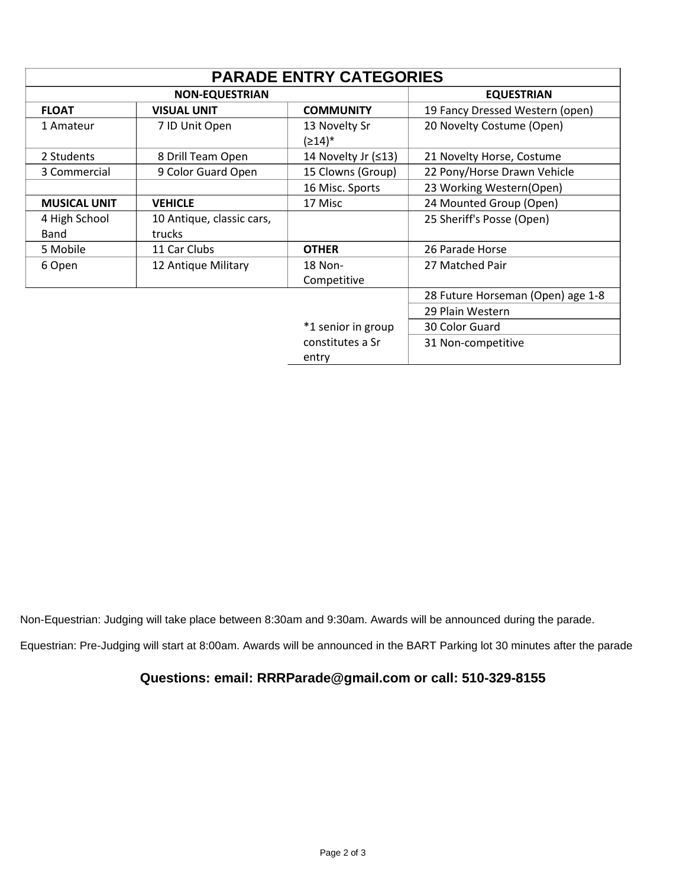| <b>PARADE ENTRY CATEGORIES</b> |                                     |                                       |                                   |  |  |
|--------------------------------|-------------------------------------|---------------------------------------|-----------------------------------|--|--|
| <b>NON-EQUESTRIAN</b>          |                                     |                                       | <b>EQUESTRIAN</b>                 |  |  |
| <b>FLOAT</b>                   | <b>VISUAL UNIT</b>                  | <b>COMMUNITY</b>                      | 19 Fancy Dressed Western (open)   |  |  |
| 1 Amateur                      | 7 ID Unit Open                      | 13 Novelty Sr<br>$(≥14)$ <sup>*</sup> | 20 Novelty Costume (Open)         |  |  |
| 2 Students                     | 8 Drill Team Open                   | 14 Novelty Jr $(≤13)$                 | 21 Novelty Horse, Costume         |  |  |
| 3 Commercial                   | 9 Color Guard Open                  | 15 Clowns (Group)                     | 22 Pony/Horse Drawn Vehicle       |  |  |
|                                |                                     | 16 Misc. Sports                       | 23 Working Western(Open)          |  |  |
| <b>MUSICAL UNIT</b>            | <b>VEHICLE</b>                      | 17 Misc                               | 24 Mounted Group (Open)           |  |  |
| 4 High School<br><b>Band</b>   | 10 Antique, classic cars,<br>trucks |                                       | 25 Sheriff's Posse (Open)         |  |  |
| 5 Mobile                       | 11 Car Clubs                        | <b>OTHER</b>                          | 26 Parade Horse                   |  |  |
| 6 Open                         | 12 Antique Military                 | 18 Non-<br>Competitive                | 27 Matched Pair                   |  |  |
|                                |                                     |                                       | 28 Future Horseman (Open) age 1-8 |  |  |
|                                |                                     |                                       | 29 Plain Western                  |  |  |
|                                |                                     | *1 senior in group                    | 30 Color Guard                    |  |  |
|                                |                                     | constitutes a Sr<br>entry             | 31 Non-competitive                |  |  |

Non-Equestrian: Judging will take place between 8:30am and 9:30am. Awards will be announced during the parade.

Equestrian: Pre-Judging will start at 8:00am. Awards will be announced in the BART Parking lot 30 minutes after the parade

# **Questions: email: RRRParade@gmail.com or call: 510-329-8155**